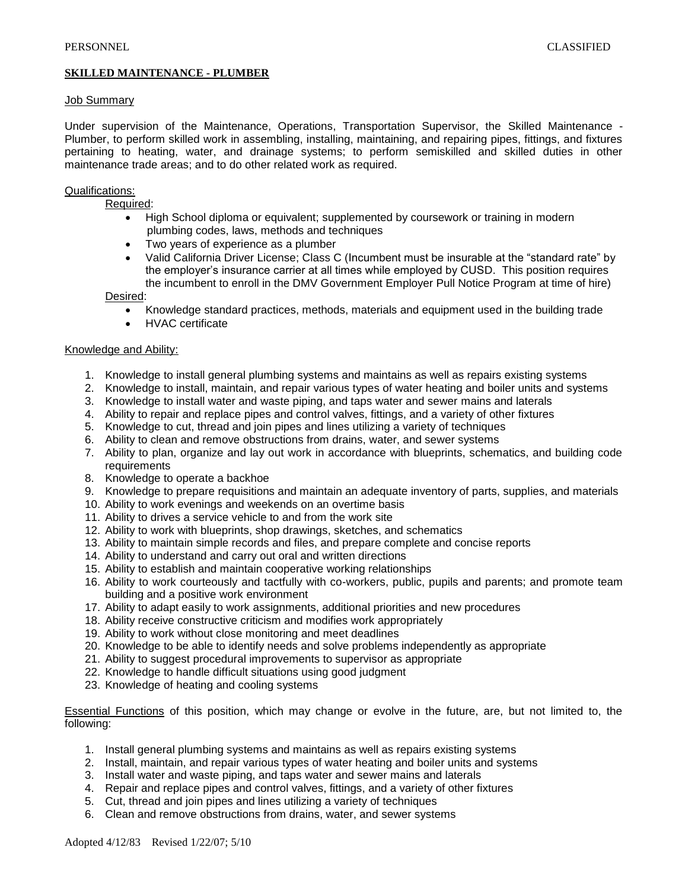## **SKILLED MAINTENANCE - PLUMBER**

#### Job Summary

Under supervision of the Maintenance, Operations, Transportation Supervisor, the Skilled Maintenance - Plumber, to perform skilled work in assembling, installing, maintaining, and repairing pipes, fittings, and fixtures pertaining to heating, water, and drainage systems; to perform semiskilled and skilled duties in other maintenance trade areas; and to do other related work as required.

### Qualifications:

Required:

- High School diploma or equivalent; supplemented by coursework or training in modern plumbing codes, laws, methods and techniques
- Two years of experience as a plumber
- Valid California Driver License; Class C (Incumbent must be insurable at the "standard rate" by the employer's insurance carrier at all times while employed by CUSD. This position requires the incumbent to enroll in the DMV Government Employer Pull Notice Program at time of hire)

Desired:

- Knowledge standard practices, methods, materials and equipment used in the building trade
- HVAC certificate

### Knowledge and Ability:

- 1. Knowledge to install general plumbing systems and maintains as well as repairs existing systems
- 2. Knowledge to install, maintain, and repair various types of water heating and boiler units and systems
- 3. Knowledge to install water and waste piping, and taps water and sewer mains and laterals
- 4. Ability to repair and replace pipes and control valves, fittings, and a variety of other fixtures
- 5. Knowledge to cut, thread and join pipes and lines utilizing a variety of techniques
- 6. Ability to clean and remove obstructions from drains, water, and sewer systems
- 7. Ability to plan, organize and lay out work in accordance with blueprints, schematics, and building code requirements
- 8. Knowledge to operate a backhoe
- 9. Knowledge to prepare requisitions and maintain an adequate inventory of parts, supplies, and materials
- 10. Ability to work evenings and weekends on an overtime basis
- 11. Ability to drives a service vehicle to and from the work site
- 12. Ability to work with blueprints, shop drawings, sketches, and schematics
- 13. Ability to maintain simple records and files, and prepare complete and concise reports
- 14. Ability to understand and carry out oral and written directions
- 15. Ability to establish and maintain cooperative working relationships
- 16. Ability to work courteously and tactfully with co-workers, public, pupils and parents; and promote team building and a positive work environment
- 17. Ability to adapt easily to work assignments, additional priorities and new procedures
- 18. Ability receive constructive criticism and modifies work appropriately
- 19. Ability to work without close monitoring and meet deadlines
- 20. Knowledge to be able to identify needs and solve problems independently as appropriate
- 21. Ability to suggest procedural improvements to supervisor as appropriate
- 22. Knowledge to handle difficult situations using good judgment
- 23. Knowledge of heating and cooling systems

Essential Functions of this position, which may change or evolve in the future, are, but not limited to, the following:

- 1. Install general plumbing systems and maintains as well as repairs existing systems
- 2. Install, maintain, and repair various types of water heating and boiler units and systems
- 3. Install water and waste piping, and taps water and sewer mains and laterals
- 4. Repair and replace pipes and control valves, fittings, and a variety of other fixtures
- 5. Cut, thread and join pipes and lines utilizing a variety of techniques
- 6. Clean and remove obstructions from drains, water, and sewer systems